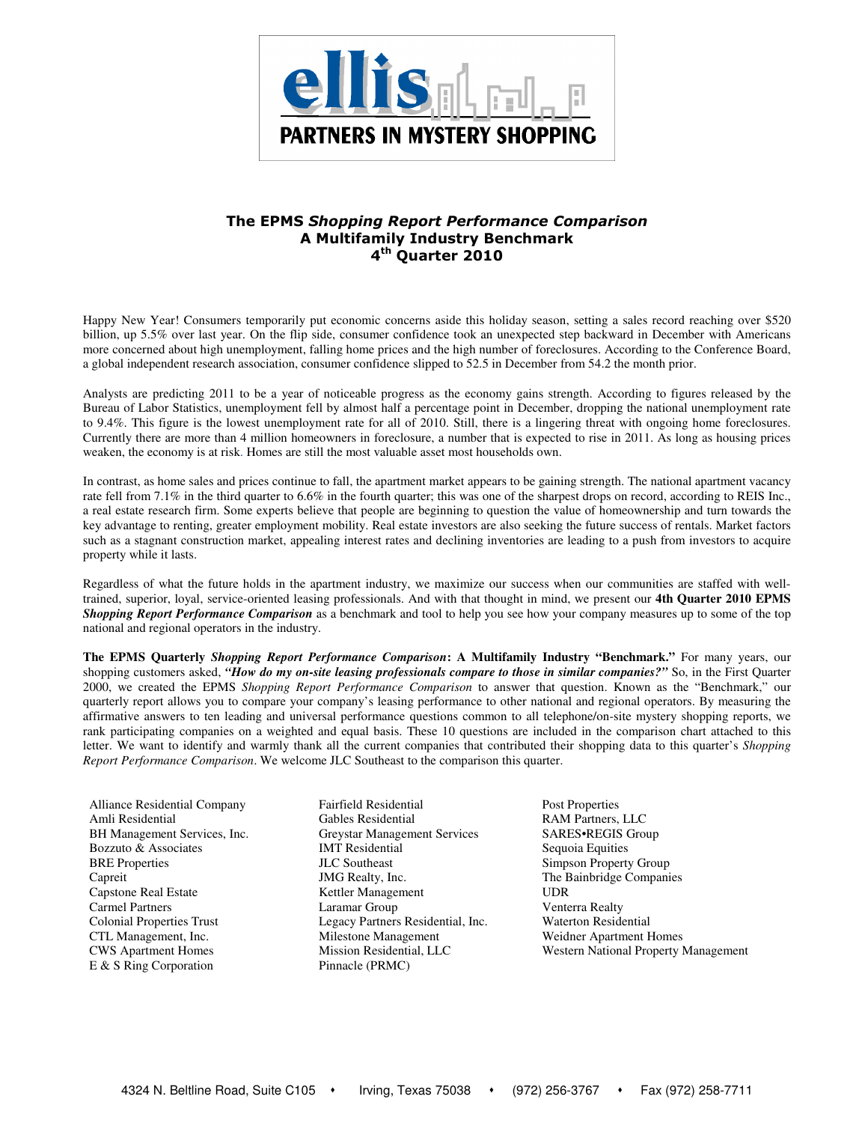

# The EPMS Shopping Report Performance Comparison A Multifamily Industry Benchmark 4<sup>th</sup> Quarter 2010

Happy New Year! Consumers temporarily put economic concerns aside this holiday season, setting a sales record reaching over \$520 billion, up 5.5% over last year. On the flip side, consumer confidence took an unexpected step backward in December with Americans more concerned about high unemployment, falling home prices and the high number of foreclosures. According to the Conference Board, a global independent research association, consumer confidence slipped to 52.5 in December from 54.2 the month prior.

Analysts are predicting 2011 to be a year of noticeable progress as the economy gains strength. According to figures released by the Bureau of Labor Statistics, unemployment fell by almost half a percentage point in December, dropping the national unemployment rate to 9.4%. This figure is the lowest unemployment rate for all of 2010. Still, there is a lingering threat with ongoing home foreclosures. Currently there are more than 4 million homeowners in foreclosure, a number that is expected to rise in 2011. As long as housing prices weaken, the economy is at risk. Homes are still the most valuable asset most households own.

In contrast, as home sales and prices continue to fall, the apartment market appears to be gaining strength. The national apartment vacancy rate fell from 7.1% in the third quarter to 6.6% in the fourth quarter; this was one of the sharpest drops on record, according to REIS Inc., a real estate research firm. Some experts believe that people are beginning to question the value of homeownership and turn towards the key advantage to renting, greater employment mobility. Real estate investors are also seeking the future success of rentals. Market factors such as a stagnant construction market, appealing interest rates and declining inventories are leading to a push from investors to acquire property while it lasts.

Regardless of what the future holds in the apartment industry, we maximize our success when our communities are staffed with welltrained, superior, loyal, service-oriented leasing professionals. And with that thought in mind, we present our **4th Quarter 2010 EPMS**  *Shopping Report Performance Comparison* as a benchmark and tool to help you see how your company measures up to some of the top national and regional operators in the industry.

**The EPMS Quarterly** *Shopping Report Performance Comparison***: A Multifamily Industry "Benchmark."** For many years, our shopping customers asked, *"How do my on-site leasing professionals compare to those in similar companies?"* So, in the First Quarter 2000, we created the EPMS *Shopping Report Performance Comparison* to answer that question. Known as the "Benchmark," our quarterly report allows you to compare your company's leasing performance to other national and regional operators. By measuring the affirmative answers to ten leading and universal performance questions common to all telephone/on-site mystery shopping reports, we rank participating companies on a weighted and equal basis. These 10 questions are included in the comparison chart attached to this letter. We want to identify and warmly thank all the current companies that contributed their shopping data to this quarter's *Shopping Report Performance Comparison*. We welcome JLC Southeast to the comparison this quarter.

Alliance Residential Company Fairfield Residential Post Properties E & S Ring Corporation Pinnacle (PRMC)

Amli Residential Gables Residential RAM Partners, LLC BH Management Services, Inc. Greystar Management Services SARES•REGIS Group Bozzuto & Associates **IMT Residential** Sequoia Equities BRE Properties **Simpson Properties JLC Southeast** Simpson Property Group Capreit JMG Realty, Inc. The Bainbridge Companies Capstone Real Estate **Kettler Management** UDR Carmel Partners Laramar Group Venterra Realty Colonial Properties Trust Legacy Partners Residential, Inc. Waterton Residential CTL Management, Inc. Milestone Management Weidner Apartment Homes

CWS Apartment Homes Mission Residential, LLC Western National Property Management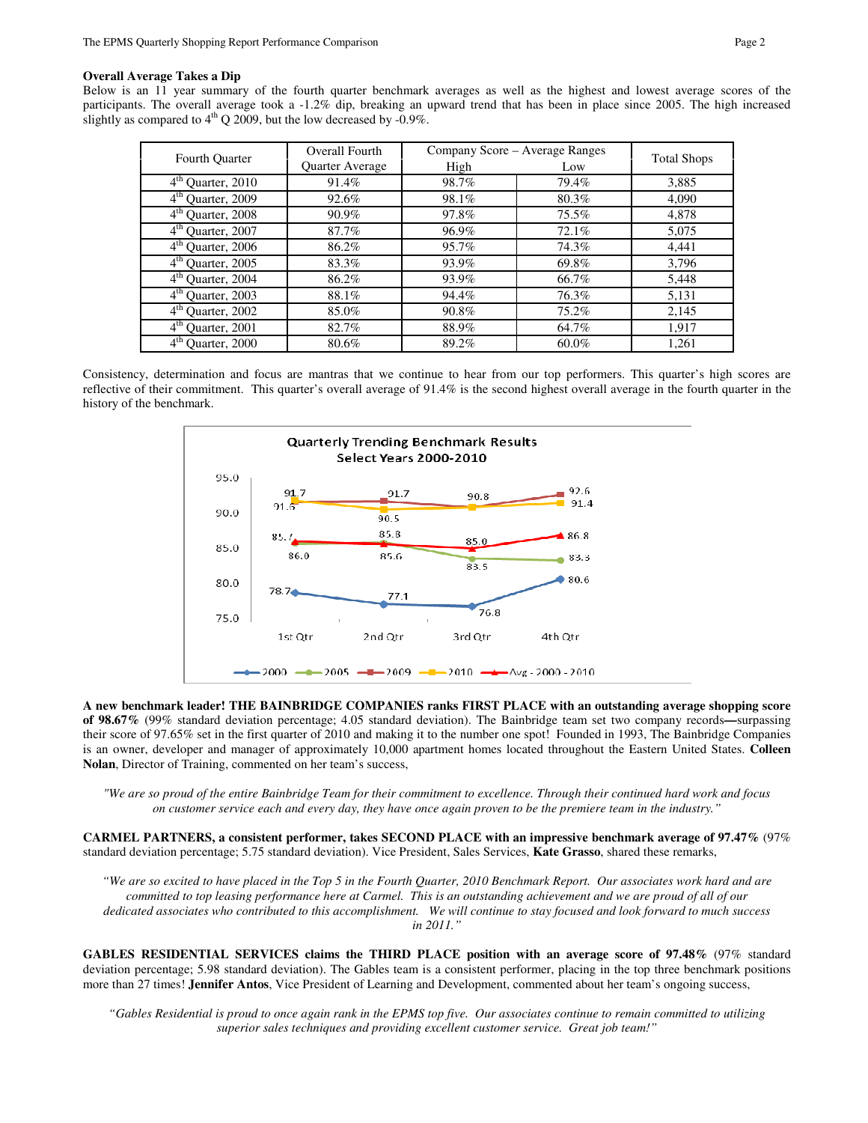### **Overall Average Takes a Dip**

Below is an 11 year summary of the fourth quarter benchmark averages as well as the highest and lowest average scores of the participants. The overall average took a -1.2% dip, breaking an upward trend that has been in place since 2005. The high increased slightly as compared to  $4<sup>th</sup>$  O 2009, but the low decreased by -0.9%.

|                                  | Overall Fourth  | Company Score - Average Ranges |       |                    |  |
|----------------------------------|-----------------|--------------------------------|-------|--------------------|--|
| <b>Fourth Quarter</b>            | Quarter Average | High                           | Low   | <b>Total Shops</b> |  |
| $4th$ Quarter, 2010              | 91.4%           | 98.7%                          | 79.4% | 3,885              |  |
| $4th$ Quarter, 2009              | 92.6%           | 98.1%                          | 80.3% | 4,090              |  |
| 4 <sup>th</sup> Quarter, 2008    | 90.9%           | 97.8%                          | 75.5% | 4,878              |  |
| $4th$ Quarter, 2007              | 87.7%           | 96.9%                          | 72.1% | 5,075              |  |
| $4^{\text{th}}$<br>Quarter, 2006 | 86.2%           | 95.7%                          | 74.3% | 4,441              |  |
| $4^{\text{th}}$<br>Quarter, 2005 | 83.3%           | 93.9%                          | 69.8% | 3,796              |  |
| 4 <sup>th</sup> Quarter, 2004    | 86.2%           | 93.9%                          | 66.7% | 5,448              |  |
| $4th$ Quarter, 2003              | 88.1%           | 94.4%                          | 76.3% | 5,131              |  |
| $4^{\text{th}}$<br>Quarter, 2002 | 85.0%           | 90.8%                          | 75.2% | 2,145              |  |
| $4^{\text{th}}$<br>Quarter, 2001 | 82.7%           | 88.9%                          | 64.7% | 1,917              |  |
| $4^{\text{th}}$<br>Quarter, 2000 | 80.6%           | 89.2%                          | 60.0% | 1.261              |  |

Consistency, determination and focus are mantras that we continue to hear from our top performers. This quarter's high scores are reflective of their commitment. This quarter's overall average of 91.4% is the second highest overall average in the fourth quarter in the history of the benchmark.



**A new benchmark leader! THE BAINBRIDGE COMPANIES ranks FIRST PLACE with an outstanding average shopping score of 98.67%** (99% standard deviation percentage; 4.05 standard deviation). The Bainbridge team set two company records**—**surpassing their score of 97.65% set in the first quarter of 2010 and making it to the number one spot! Founded in 1993, The Bainbridge Companies is an owner, developer and manager of approximately 10,000 apartment homes located throughout the Eastern United States. **Colleen Nolan**, Director of Training, commented on her team's success,

*"We are so proud of the entire Bainbridge Team for their commitment to excellence. Through their continued hard work and focus on customer service each and every day, they have once again proven to be the premiere team in the industry."*

**CARMEL PARTNERS, a consistent performer, takes SECOND PLACE with an impressive benchmark average of 97.47%** (97% standard deviation percentage; 5.75 standard deviation). Vice President, Sales Services, **Kate Grasso**, shared these remarks,

*"We are so excited to have placed in the Top 5 in the Fourth Quarter, 2010 Benchmark Report. Our associates work hard and are committed to top leasing performance here at Carmel. This is an outstanding achievement and we are proud of all of our dedicated associates who contributed to this accomplishment. We will continue to stay focused and look forward to much success in 2011."* 

**GABLES RESIDENTIAL SERVICES claims the THIRD PLACE position with an average score of 97.48%** (97% standard deviation percentage; 5.98 standard deviation). The Gables team is a consistent performer, placing in the top three benchmark positions more than 27 times! **Jennifer Antos**, Vice President of Learning and Development, commented about her team's ongoing success,

*"Gables Residential is proud to once again rank in the EPMS top five. Our associates continue to remain committed to utilizing superior sales techniques and providing excellent customer service. Great job team!"*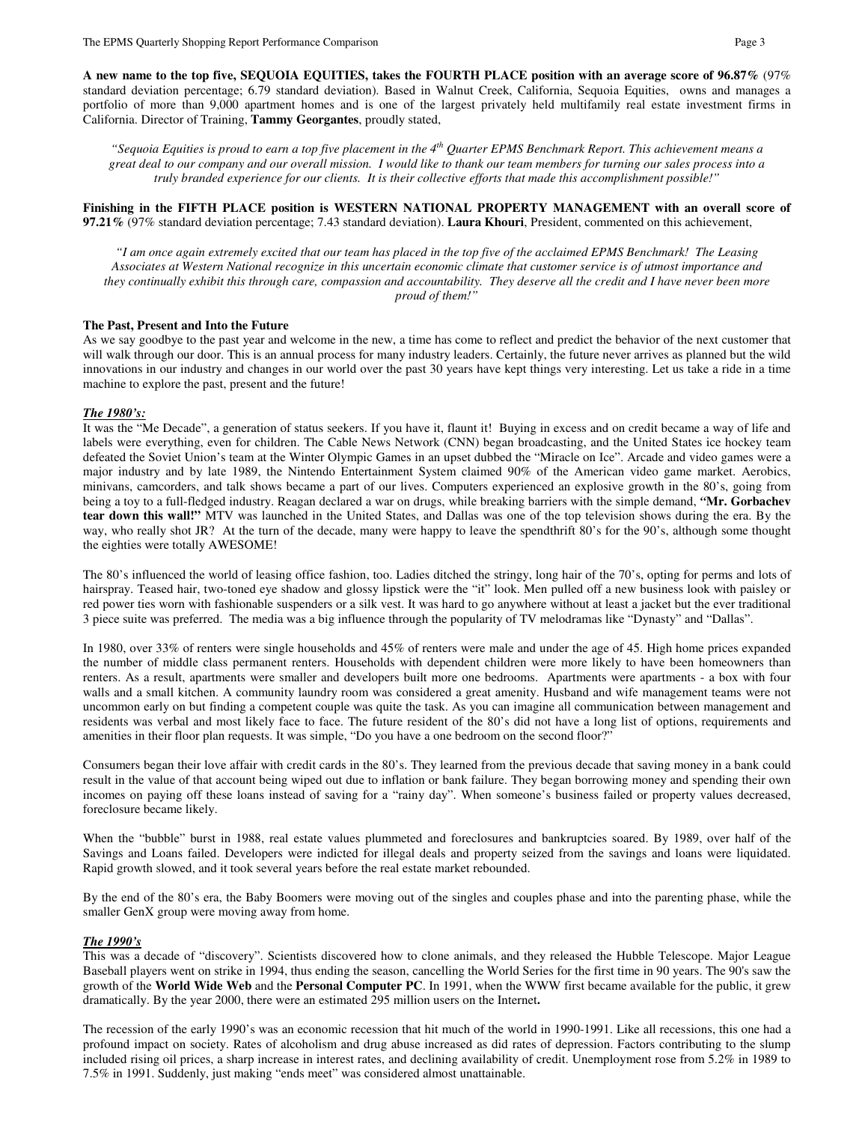**A new name to the top five, SEQUOIA EQUITIES, takes the FOURTH PLACE position with an average score of 96.87%** (97% standard deviation percentage; 6.79 standard deviation). Based in Walnut Creek, California, Sequoia Equities, owns and manages a portfolio of more than 9,000 apartment homes and is one of the largest privately held multifamily real estate investment firms in California. Director of Training, **Tammy Georgantes**, proudly stated,

*"Sequoia Equities is proud to earn a top five placement in the 4th Quarter EPMS Benchmark Report. This achievement means a great deal to our company and our overall mission. I would like to thank our team members for turning our sales process into a truly branded experience for our clients. It is their collective efforts that made this accomplishment possible!"* 

**Finishing in the FIFTH PLACE position is WESTERN NATIONAL PROPERTY MANAGEMENT with an overall score of 97.21%** (97% standard deviation percentage; 7.43 standard deviation). **Laura Khouri**, President, commented on this achievement,

*"I am once again extremely excited that our team has placed in the top five of the acclaimed EPMS Benchmark! The Leasing Associates at Western National recognize in this uncertain economic climate that customer service is of utmost importance and they continually exhibit this through care, compassion and accountability. They deserve all the credit and I have never been more proud of them!"* 

# **The Past, Present and Into the Future**

As we say goodbye to the past year and welcome in the new, a time has come to reflect and predict the behavior of the next customer that will walk through our door. This is an annual process for many industry leaders. Certainly, the future never arrives as planned but the wild innovations in our industry and changes in our world over the past 30 years have kept things very interesting. Let us take a ride in a time machine to explore the past, present and the future!

### *The 1980's:*

It was the "Me Decade", a generation of status seekers. If you have it, flaunt it! Buying in excess and on credit became a way of life and labels were everything, even for children. The Cable News Network (CNN) began broadcasting, and the United States ice hockey team defeated the Soviet Union's team at the Winter Olympic Games in an upset dubbed the "Miracle on Ice". Arcade and video games were a major industry and by late 1989, the Nintendo Entertainment System claimed 90% of the American video game market. Aerobics, minivans, camcorders, and talk shows became a part of our lives. Computers experienced an explosive growth in the 80's, going from being a toy to a full-fledged industry. Reagan declared a war on drugs, while breaking barriers with the simple demand, *"***Mr. Gorbachev tear down this wall!"** MTV was launched in the United States, and Dallas was one of the top television shows during the era. By the way, who really shot JR? At the turn of the decade, many were happy to leave the spendthrift 80's for the 90's, although some thought the eighties were totally AWESOME!

The 80's influenced the world of leasing office fashion, too. Ladies ditched the stringy, long hair of the 70's, opting for perms and lots of hairspray. Teased hair, two-toned eye shadow and glossy lipstick were the "it" look. Men pulled off a new business look with paisley or red power ties worn with fashionable suspenders or a silk vest. It was hard to go anywhere without at least a jacket but the ever traditional 3 piece suite was preferred. The media was a big influence through the popularity of TV melodramas like "Dynasty" and "Dallas".

In 1980, over 33% of renters were single households and 45% of renters were male and under the age of 45. High home prices expanded the number of middle class permanent renters. Households with dependent children were more likely to have been homeowners than renters. As a result, apartments were smaller and developers built more one bedrooms. Apartments were apartments - a box with four walls and a small kitchen. A community laundry room was considered a great amenity. Husband and wife management teams were not uncommon early on but finding a competent couple was quite the task. As you can imagine all communication between management and residents was verbal and most likely face to face. The future resident of the 80's did not have a long list of options, requirements and amenities in their floor plan requests. It was simple, "Do you have a one bedroom on the second floor?"

Consumers began their love affair with credit cards in the 80's. They learned from the previous decade that saving money in a bank could result in the value of that account being wiped out due to inflation or bank failure. They began borrowing money and spending their own incomes on paying off these loans instead of saving for a "rainy day". When someone's business failed or property values decreased, foreclosure became likely.

When the "bubble" burst in 1988, real estate values plummeted and foreclosures and bankruptcies soared. By 1989, over half of the Savings and Loans failed. Developers were indicted for illegal deals and property seized from the savings and loans were liquidated. Rapid growth slowed, and it took several years before the real estate market rebounded.

By the end of the 80's era, the Baby Boomers were moving out of the singles and couples phase and into the parenting phase, while the smaller GenX group were moving away from home.

#### *The 1990's*

This was a decade of "discovery". Scientists discovered how to clone animals, and they released the Hubble Telescope. Major League Baseball players went on strike in 1994, thus ending the season, cancelling the World Series for the first time in 90 years. The 90's saw the growth of the **World Wide Web** and the **Personal Computer PC**. In 1991, when the WWW first became available for the public, it grew dramatically. By the year 2000, there were an estimated 295 million users on the Internet**.**

The recession of the early 1990's was an economic recession that hit much of the world in 1990-1991. Like all recessions, this one had a profound impact on society. Rates of alcoholism and drug abuse increased as did rates of depression. Factors contributing to the slump included rising oil prices, a sharp increase in interest rates, and declining availability of credit. Unemployment rose from 5.2% in 1989 to 7.5% in 1991. Suddenly, just making "ends meet" was considered almost unattainable.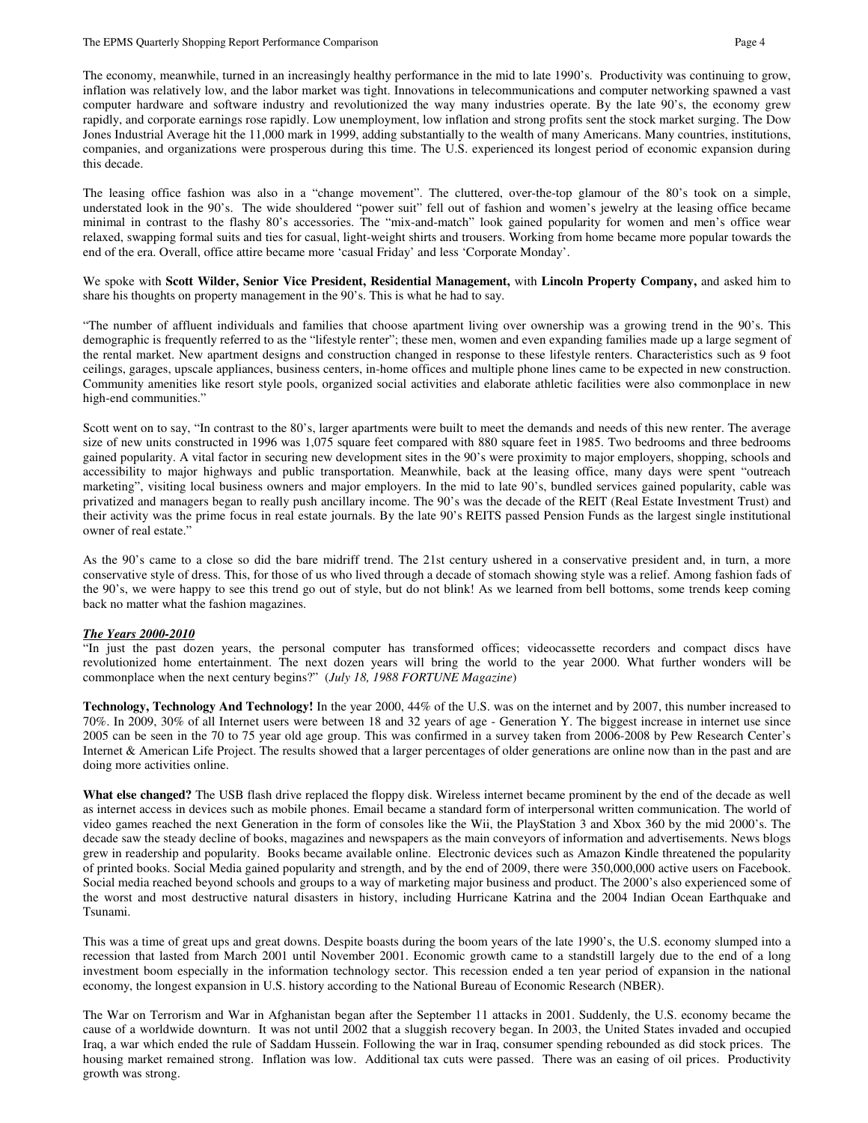The economy, meanwhile, turned in an increasingly healthy performance in the mid to late 1990's. Productivity was continuing to grow, inflation was relatively low, and the labor market was tight. Innovations in telecommunications and computer networking spawned a vast computer hardware and software industry and revolutionized the way many industries operate. By the late 90's, the economy grew rapidly, and corporate earnings rose rapidly. Low unemployment, low inflation and strong profits sent the stock market surging. The Dow Jones Industrial Average hit the 11,000 mark in 1999, adding substantially to the wealth of many Americans. Many countries, institutions, companies, and organizations were prosperous during this time. The U.S. experienced its longest period of economic expansion during this decade.

The leasing office fashion was also in a "change movement". The cluttered, over-the-top glamour of the 80's took on a simple, understated look in the 90's. The wide shouldered "power suit" fell out of fashion and women's jewelry at the leasing office became minimal in contrast to the flashy 80's accessories. The "mix-and-match" look gained popularity for women and men's office wear relaxed, swapping formal suits and ties for casual, light-weight shirts and trousers. Working from home became more popular towards the end of the era. Overall, office attire became more 'casual Friday' and less 'Corporate Monday'.

We spoke with **Scott Wilder, Senior Vice President, Residential Management,** with **Lincoln Property Company,** and asked him to share his thoughts on property management in the 90's. This is what he had to say.

"The number of affluent individuals and families that choose apartment living over ownership was a growing trend in the 90's. This demographic is frequently referred to as the "lifestyle renter"; these men, women and even expanding families made up a large segment of the rental market. New apartment designs and construction changed in response to these lifestyle renters. Characteristics such as 9 foot ceilings, garages, upscale appliances, business centers, in-home offices and multiple phone lines came to be expected in new construction. Community amenities like resort style pools, organized social activities and elaborate athletic facilities were also commonplace in new high-end communities."

Scott went on to say, "In contrast to the 80's, larger apartments were built to meet the demands and needs of this new renter. The average size of new units constructed in 1996 was 1,075 square feet compared with 880 square feet in 1985. Two bedrooms and three bedrooms gained popularity. A vital factor in securing new development sites in the 90's were proximity to major employers, shopping, schools and accessibility to major highways and public transportation. Meanwhile, back at the leasing office, many days were spent "outreach marketing", visiting local business owners and major employers. In the mid to late 90's, bundled services gained popularity, cable was privatized and managers began to really push ancillary income. The 90's was the decade of the REIT (Real Estate Investment Trust) and their activity was the prime focus in real estate journals. By the late 90's REITS passed Pension Funds as the largest single institutional owner of real estate."

As the 90's came to a close so did the bare midriff trend. The 21st century ushered in a conservative president and, in turn, a more conservative style of dress. This, for those of us who lived through a decade of stomach showing style was a relief. Among fashion fads of the 90's, we were happy to see this trend go out of style, but do not blink! As we learned from bell bottoms, some trends keep coming back no matter what the fashion magazines.

#### *The Years 2000-2010*

"In just the past dozen years, the personal computer has transformed offices; videocassette recorders and compact discs have revolutionized home entertainment. The next dozen years will bring the world to the year 2000. What further wonders will be commonplace when the next century begins?" (*July 18, 1988 FORTUNE Magazine*)

**Technology, Technology And Technology!** In the year 2000, 44% of the U.S. was on the internet and by 2007, this number increased to 70%. In 2009, 30% of all Internet users were between 18 and 32 years of age - Generation Y. The biggest increase in internet use since 2005 can be seen in the 70 to 75 year old age group. This was confirmed in a survey taken from 2006-2008 by Pew Research Center's Internet & American Life Project. The results showed that a larger percentages of older generations are online now than in the past and are doing more activities online.

**What else changed?** The USB flash drive replaced the floppy disk. Wireless internet became prominent by the end of the decade as well as internet access in devices such as mobile phones. Email became a standard form of interpersonal written communication. The world of video games reached the next Generation in the form of consoles like the Wii, the PlayStation 3 and Xbox 360 by the mid 2000's. The decade saw the steady decline of books, magazines and newspapers as the main conveyors of information and advertisements. News blogs grew in readership and popularity. Books became available online. Electronic devices such as Amazon Kindle threatened the popularity of printed books. Social Media gained popularity and strength, and by the end of 2009, there were 350,000,000 active users on Facebook. Social media reached beyond schools and groups to a way of marketing major business and product. The 2000's also experienced some of the worst and most destructive natural disasters in history, including Hurricane Katrina and the 2004 Indian Ocean Earthquake and Tsunami.

This was a time of great ups and great downs. Despite boasts during the boom years of the late 1990's, the U.S. economy slumped into a recession that lasted from March 2001 until November 2001. Economic growth came to a standstill largely due to the end of a long investment boom especially in the information technology sector. This recession ended a ten year period of expansion in the national economy, the longest expansion in U.S. history according to the National Bureau of Economic Research (NBER).

The War on Terrorism and War in Afghanistan began after the September 11 attacks in 2001. Suddenly, the U.S. economy became the cause of a worldwide downturn. It was not until 2002 that a sluggish recovery began. In 2003, the United States invaded and occupied Iraq, a war which ended the rule of Saddam Hussein. Following the war in Iraq, consumer spending rebounded as did stock prices. The housing market remained strong. Inflation was low. Additional tax cuts were passed. There was an easing of oil prices. Productivity growth was strong.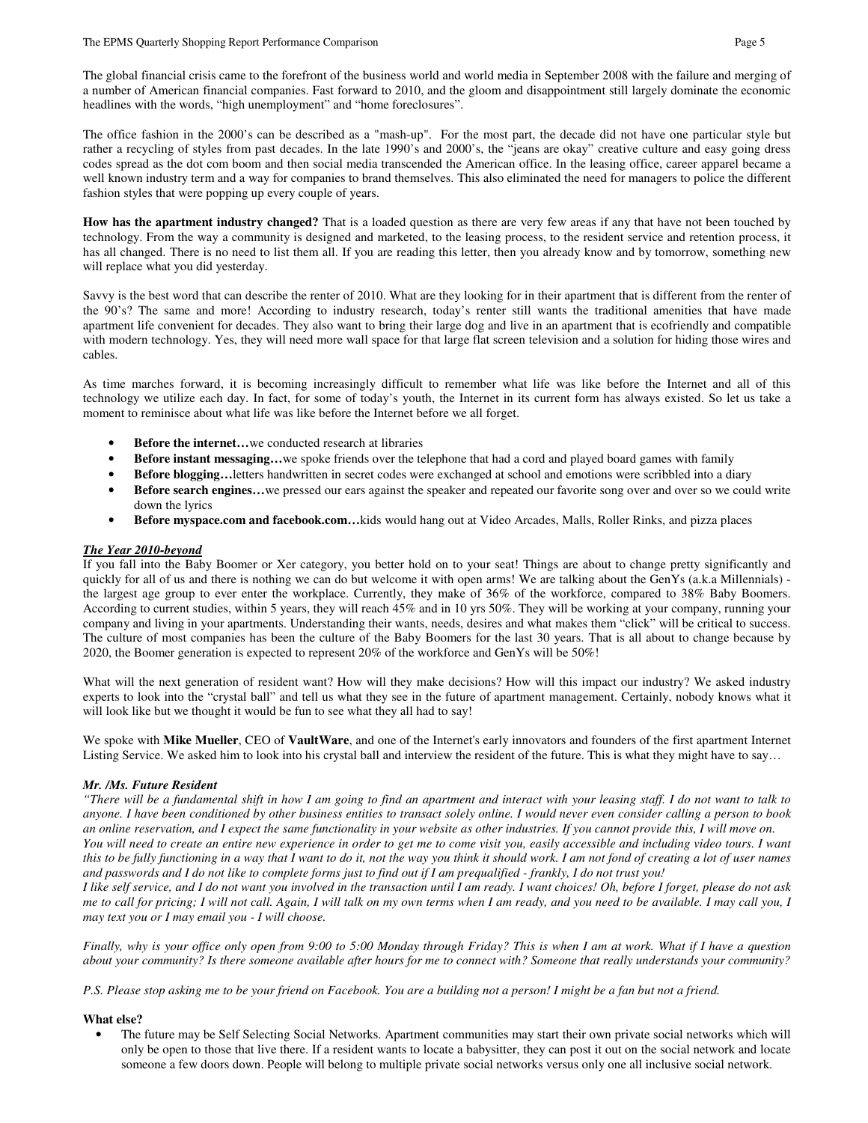The global financial crisis came to the forefront of the business world and world media in September 2008 with the failure and merging of a number of American financial companies. Fast forward to 2010, and the gloom and disappointment still largely dominate the economic headlines with the words, "high unemployment" and "home foreclosures".

The office fashion in the 2000's can be described as a "mash-up". For the most part, the decade did not have one particular style but rather a recycling of styles from past decades. In the late 1990's and 2000's, the "jeans are okay" creative culture and easy going dress codes spread as the dot com boom and then social media transcended the American office. In the leasing office, career apparel became a well known industry term and a way for companies to brand themselves. This also eliminated the need for managers to police the different fashion styles that were popping up every couple of years.

How has the apartment industry changed? That is a loaded question as there are very few areas if any that have not been touched by technology. From the way a community is designed and marketed, to the leasing process, to the resident service and retention process, it has all changed. There is no need to list them all. If you are reading this letter, then you already know and by tomorrow, something new will replace what you did yesterday.

Savvy is the best word that can describe the renter of 2010. What are they looking for in their apartment that is different from the renter of the 90's? The same and more! According to industry research, today's renter still wants the traditional amenities that have made apartment life convenient for decades. They also want to bring their large dog and live in an apartment that is ecofriendly and compatible with modern technology. Yes, they will need more wall space for that large flat screen television and a solution for hiding those wires and cables.

As time marches forward, it is becoming increasingly difficult to remember what life was like before the Internet and all of this technology we utilize each day. In fact, for some of today's youth, the Internet in its current form has always existed. So let us take a moment to reminisce about what life was like before the Internet before we all forget.

- **Before the internet...**we conducted research at libraries
- **Before instant messaging…**we spoke friends over the telephone that had a cord and played board games with family
- **Before blogging…**letters handwritten in secret codes were exchanged at school and emotions were scribbled into a diary
- **Before search engines...**we pressed our ears against the speaker and repeated our favorite song over and over so we could write down the lyrics
- **Before myspace.com and facebook.com…**kids would hang out at Video Arcades, Malls, Roller Rinks, and pizza places

# *The Year 2010-beyond*

If you fall into the Baby Boomer or Xer category, you better hold on to your seat! Things are about to change pretty significantly and quickly for all of us and there is nothing we can do but welcome it with open arms! We are talking about the GenYs (a.k.a Millennials) the largest age group to ever enter the workplace. Currently, they make of 36% of the workforce, compared to 38% Baby Boomers. According to current studies, within 5 years, they will reach 45% and in 10 yrs 50%. They will be working at your company, running your company and living in your apartments. Understanding their wants, needs, desires and what makes them "click" will be critical to success. The culture of most companies has been the culture of the Baby Boomers for the last 30 years. That is all about to change because by 2020, the Boomer generation is expected to represent 20% of the workforce and GenYs will be 50%!

What will the next generation of resident want? How will they make decisions? How will this impact our industry? We asked industry experts to look into the "crystal ball" and tell us what they see in the future of apartment management. Certainly, nobody knows what it will look like but we thought it would be fun to see what they all had to say!

We spoke with **Mike Mueller**, CEO of **VaultWare**, and one of the Internet's early innovators and founders of the first apartment Internet Listing Service. We asked him to look into his crystal ball and interview the resident of the future. This is what they might have to say…

# *Mr. /Ms. Future Resident*

*"There will be a fundamental shift in how I am going to find an apartment and interact with your leasing staff. I do not want to talk to anyone. I have been conditioned by other business entities to transact solely online. I would never even consider calling a person to book an online reservation, and I expect the same functionality in your website as other industries. If you cannot provide this, I will move on. You will need to create an entire new experience in order to get me to come visit you, easily accessible and including video tours. I want this to be fully functioning in a way that I want to do it, not the way you think it should work. I am not fond of creating a lot of user names and passwords and I do not like to complete forms just to find out if I am prequalified - frankly, I do not trust you!* 

*I like self service, and I do not want you involved in the transaction until I am ready. I want choices! Oh, before I forget, please do not ask me to call for pricing; I will not call. Again, I will talk on my own terms when I am ready, and you need to be available. I may call you, I may text you or I may email you - I will choose.* 

*Finally, why is your office only open from 9:00 to 5:00 Monday through Friday? This is when I am at work. What if I have a question about your community? Is there someone available after hours for me to connect with? Someone that really understands your community?* 

*P.S. Please stop asking me to be your friend on Facebook. You are a building not a person! I might be a fan but not a friend.* 

# **What else?**

• The future may be Self Selecting Social Networks. Apartment communities may start their own private social networks which will only be open to those that live there. If a resident wants to locate a babysitter, they can post it out on the social network and locate someone a few doors down. People will belong to multiple private social networks versus only one all inclusive social network.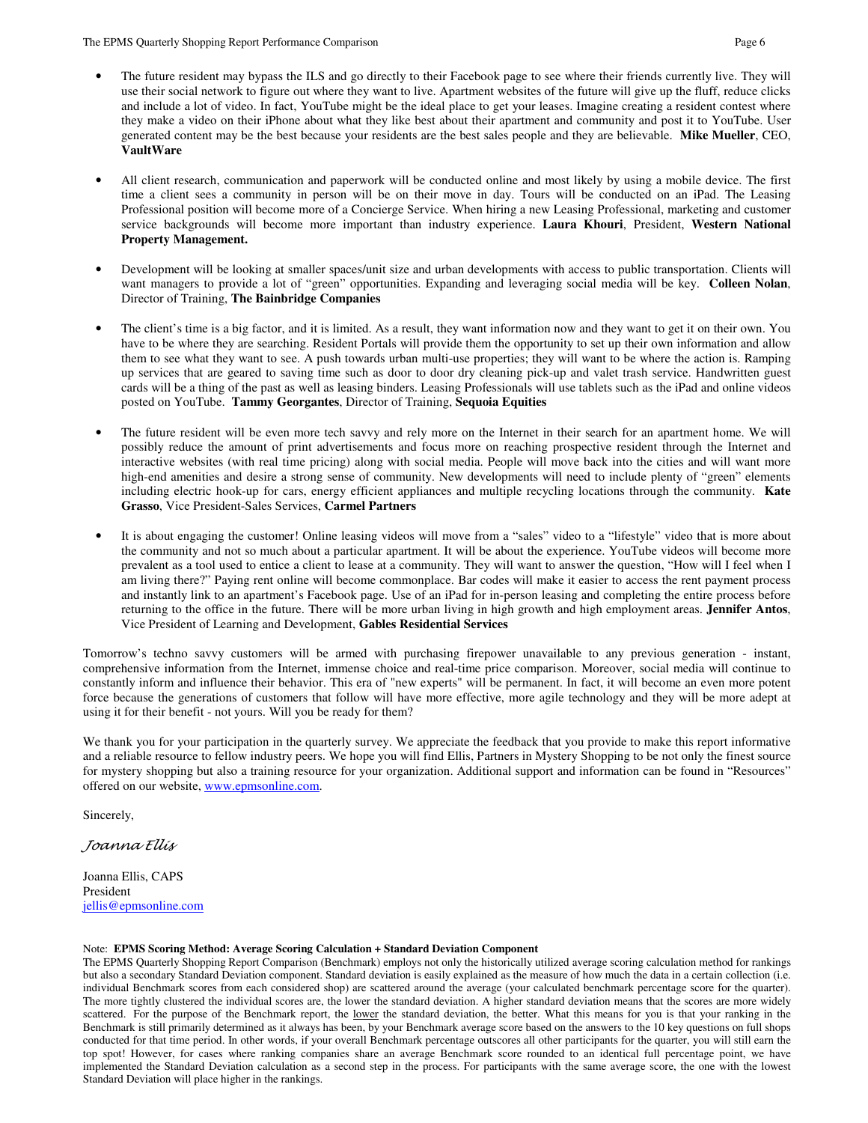- The future resident may bypass the ILS and go directly to their Facebook page to see where their friends currently live. They will use their social network to figure out where they want to live. Apartment websites of the future will give up the fluff, reduce clicks and include a lot of video. In fact, YouTube might be the ideal place to get your leases. Imagine creating a resident contest where they make a video on their iPhone about what they like best about their apartment and community and post it to YouTube. User generated content may be the best because your residents are the best sales people and they are believable. **Mike Mueller**, CEO, **VaultWare**
- All client research, communication and paperwork will be conducted online and most likely by using a mobile device. The first time a client sees a community in person will be on their move in day. Tours will be conducted on an iPad. The Leasing Professional position will become more of a Concierge Service. When hiring a new Leasing Professional, marketing and customer service backgrounds will become more important than industry experience. **Laura Khouri**, President, **Western National Property Management.**
- Development will be looking at smaller spaces/unit size and urban developments with access to public transportation. Clients will want managers to provide a lot of "green" opportunities. Expanding and leveraging social media will be key. **Colleen Nolan**, Director of Training, **The Bainbridge Companies**
- The client's time is a big factor, and it is limited. As a result, they want information now and they want to get it on their own. You have to be where they are searching. Resident Portals will provide them the opportunity to set up their own information and allow them to see what they want to see. A push towards urban multi-use properties; they will want to be where the action is. Ramping up services that are geared to saving time such as door to door dry cleaning pick-up and valet trash service. Handwritten guest cards will be a thing of the past as well as leasing binders. Leasing Professionals will use tablets such as the iPad and online videos posted on YouTube. **Tammy Georgantes**, Director of Training, **Sequoia Equities**
- The future resident will be even more tech savvy and rely more on the Internet in their search for an apartment home. We will possibly reduce the amount of print advertisements and focus more on reaching prospective resident through the Internet and interactive websites (with real time pricing) along with social media. People will move back into the cities and will want more high-end amenities and desire a strong sense of community. New developments will need to include plenty of "green" elements including electric hook-up for cars, energy efficient appliances and multiple recycling locations through the community. **Kate Grasso**, Vice President-Sales Services, **Carmel Partners**
- It is about engaging the customer! Online leasing videos will move from a "sales" video to a "lifestyle" video that is more about the community and not so much about a particular apartment. It will be about the experience. YouTube videos will become more prevalent as a tool used to entice a client to lease at a community. They will want to answer the question, "How will I feel when I am living there?" Paying rent online will become commonplace. Bar codes will make it easier to access the rent payment process and instantly link to an apartment's Facebook page. Use of an iPad for in-person leasing and completing the entire process before returning to the office in the future. There will be more urban living in high growth and high employment areas. **Jennifer Antos**, Vice President of Learning and Development, **Gables Residential Services**

Tomorrow's techno savvy customers will be armed with purchasing firepower unavailable to any previous generation - instant, comprehensive information from the Internet, immense choice and real-time price comparison. Moreover, social media will continue to constantly inform and influence their behavior. This era of "new experts" will be permanent. In fact, it will become an even more potent force because the generations of customers that follow will have more effective, more agile technology and they will be more adept at using it for their benefit - not yours. Will you be ready for them?

We thank you for your participation in the quarterly survey. We appreciate the feedback that you provide to make this report informative and a reliable resource to fellow industry peers. We hope you will find Ellis, Partners in Mystery Shopping to be not only the finest source for mystery shopping but also a training resource for your organization. Additional support and information can be found in "Resources" offered on our website, www.epmsonline.com.

Sincerely,

Joanna Ellis

Joanna Ellis, CAPS President jellis@epmsonline.com

#### Note: **EPMS Scoring Method: Average Scoring Calculation + Standard Deviation Component**

The EPMS Quarterly Shopping Report Comparison (Benchmark) employs not only the historically utilized average scoring calculation method for rankings but also a secondary Standard Deviation component. Standard deviation is easily explained as the measure of how much the data in a certain collection (i.e. individual Benchmark scores from each considered shop) are scattered around the average (your calculated benchmark percentage score for the quarter). The more tightly clustered the individual scores are, the lower the standard deviation. A higher standard deviation means that the scores are more widely scattered. For the purpose of the Benchmark report, the lower the standard deviation, the better. What this means for you is that your ranking in the Benchmark is still primarily determined as it always has been, by your Benchmark average score based on the answers to the 10 key questions on full shops conducted for that time period. In other words, if your overall Benchmark percentage outscores all other participants for the quarter, you will still earn the top spot! However, for cases where ranking companies share an average Benchmark score rounded to an identical full percentage point, we have implemented the Standard Deviation calculation as a second step in the process. For participants with the same average score, the one with the lowest Standard Deviation will place higher in the rankings.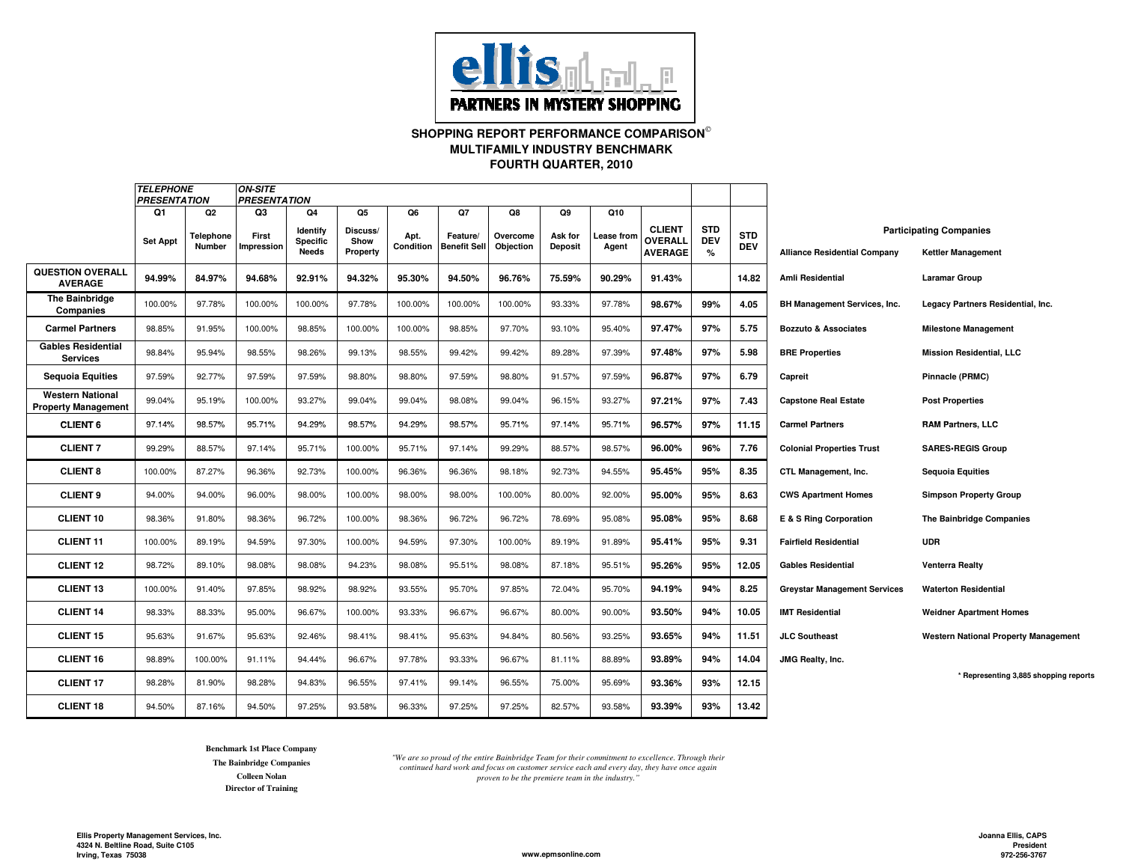

# **SHOPPING REPORT PERFORMANCE COMPARISON FOURTH QUARTER, 2010MULTIFAMILY INDUSTRY BENCHMARK**

|                                                       | <i><b>TELEPHONE</b></i><br><b>PRESENTATION</b> |                                       | <b>ON-SITE</b><br><b>PRESENTATION</b> |                                            |                                           |                         |                                       |                             |                                 |                            |                                            |                               |                          |                                     |                                                             |
|-------------------------------------------------------|------------------------------------------------|---------------------------------------|---------------------------------------|--------------------------------------------|-------------------------------------------|-------------------------|---------------------------------------|-----------------------------|---------------------------------|----------------------------|--------------------------------------------|-------------------------------|--------------------------|-------------------------------------|-------------------------------------------------------------|
|                                                       | Q1<br><b>Set Appt</b>                          | Q <sub>2</sub><br>Telephone<br>Number | Q3<br>First<br>mpression              | Q4<br>Identify<br><b>Specific</b><br>Needs | Q5<br>Discuss/<br>Show<br><b>Property</b> | Q6<br>Apt.<br>Condition | Q7<br>Feature/<br><b>Benefit Sell</b> | Q8<br>Overcome<br>Objection | Q9<br>Ask for<br><b>Deposit</b> | Q10<br>∟ease from<br>Agent | <b>CLIENT</b><br>OVERALL<br><b>AVERAGE</b> | <b>STD</b><br><b>DEV</b><br>% | <b>STD</b><br><b>DEV</b> | <b>Alliance Residential Company</b> | <b>Participating Companies</b><br><b>Kettler Management</b> |
| <b>QUESTION OVERALL</b><br><b>AVERAGE</b>             | 94.99%                                         | 84.97%                                | 94.68%                                | 92.91%                                     | 94.32%                                    | 95.30%                  | 94.50%                                | 96.76%                      | 75.59%                          | 90.29%                     | 91.43%                                     |                               | 14.82                    | <b>Amli Residential</b>             | <b>Laramar Group</b>                                        |
| The Bainbridge<br>Companies                           | 100.00%                                        | 97.78%                                | 100.00%                               | 100.00%                                    | 97.78%                                    | 100.00%                 | 100.00%                               | 100.00%                     | 93.33%                          | 97.78%                     | 98.67%                                     | 99%                           | 4.05                     | <b>BH Management Services, Inc.</b> | Legacy Partners Residential, Inc.                           |
| <b>Carmel Partners</b>                                | 98.85%                                         | 91.95%                                | 100.00%                               | 98.85%                                     | 100.00%                                   | 100.00%                 | 98.85%                                | 97.70%                      | 93.10%                          | 95.40%                     | 97.47%                                     | 97%                           | 5.75                     | <b>Bozzuto &amp; Associates</b>     | <b>Milestone Management</b>                                 |
| <b>Gables Residential</b><br><b>Services</b>          | 98.84%                                         | 95.94%                                | 98.55%                                | 98.26%                                     | 99.13%                                    | 98.55%                  | 99.42%                                | 99.42%                      | 89.28%                          | 97.39%                     | 97.48%                                     | 97%                           | 5.98                     | <b>BRE Properties</b>               | <b>Mission Residential, LLC</b>                             |
| <b>Sequoia Equities</b>                               | 97.59%                                         | 92.77%                                | 97.59%                                | 97.59%                                     | 98.80%                                    | 98.80%                  | 97.59%                                | 98.80%                      | 91.57%                          | 97.59%                     | 96.87%                                     | 97%                           | 6.79                     | Capreit                             | Pinnacle (PRMC)                                             |
| <b>Western National</b><br><b>Property Management</b> | 99.04%                                         | 95.19%                                | 100.00%                               | 93.27%                                     | 99.04%                                    | 99.04%                  | 98.08%                                | 99.04%                      | 96.15%                          | 93.27%                     | 97.21%                                     | 97%                           | 7.43                     | <b>Capstone Real Estate</b>         | <b>Post Properties</b>                                      |
| <b>CLIENT 6</b>                                       | 97.14%                                         | 98.57%                                | 95.71%                                | 94.29%                                     | 98.57%                                    | 94.29%                  | 98.57%                                | 95.71%                      | 97.14%                          | 95.71%                     | 96.57%                                     | 97%                           | 11.15                    | <b>Carmel Partners</b>              | <b>RAM Partners, LLC</b>                                    |
| <b>CLIENT7</b>                                        | 99.29%                                         | 88.57%                                | 97.14%                                | 95.71%                                     | 100.00%                                   | 95.71%                  | 97.14%                                | 99.29%                      | 88.57%                          | 98.57%                     | 96.00%                                     | 96%                           | 7.76                     | <b>Colonial Properties Trust</b>    | <b>SARES-REGIS Group</b>                                    |
| <b>CLIENT 8</b>                                       | 100.00%                                        | 87.27%                                | 96.36%                                | 92.73%                                     | 100.00%                                   | 96.36%                  | 96.36%                                | 98.18%                      | 92.73%                          | 94.55%                     | 95.45%                                     | 95%                           | 8.35                     | CTL Management, Inc.                | <b>Sequoia Equities</b>                                     |
| <b>CLIENT 9</b>                                       | 94.00%                                         | 94.00%                                | 96.00%                                | 98.00%                                     | 100.00%                                   | 98.00%                  | 98.00%                                | 100.00%                     | 80.00%                          | 92.00%                     | 95.00%                                     | 95%                           | 8.63                     | <b>CWS Apartment Homes</b>          | <b>Simpson Property Group</b>                               |
| <b>CLIENT 10</b>                                      | 98.36%                                         | 91.80%                                | 98.36%                                | 96.72%                                     | 100.00%                                   | 98.36%                  | 96.72%                                | 96.72%                      | 78.69%                          | 95.08%                     | 95.08%                                     | 95%                           | 8.68                     | E & S Ring Corporation              | The Bainbridge Companies                                    |
| <b>CLIENT 11</b>                                      | 100.00%                                        | 89.19%                                | 94.59%                                | 97.30%                                     | 100.00%                                   | 94.59%                  | 97.30%                                | 100.00%                     | 89.19%                          | 91.89%                     | 95.41%                                     | 95%                           | 9.31                     | <b>Fairfield Residential</b>        | <b>UDR</b>                                                  |
| <b>CLIENT 12</b>                                      | 98.72%                                         | 89.10%                                | 98.08%                                | 98.08%                                     | 94.23%                                    | 98.08%                  | 95.51%                                | 98.08%                      | 87.18%                          | 95.51%                     | 95.26%                                     | 95%                           | 12.05                    | <b>Gables Residential</b>           | <b>Venterra Realty</b>                                      |
| <b>CLIENT 13</b>                                      | 100.00%                                        | 91.40%                                | 97.85%                                | 98.92%                                     | 98.92%                                    | 93.55%                  | 95.70%                                | 97.85%                      | 72.04%                          | 95.70%                     | 94.19%                                     | 94%                           | 8.25                     | <b>Greystar Management Services</b> | <b>Waterton Residential</b>                                 |
| <b>CLIENT 14</b>                                      | 98.33%                                         | 88.33%                                | 95.00%                                | 96.67%                                     | 100.00%                                   | 93.33%                  | 96.67%                                | 96.67%                      | 80.00%                          | 90.00%                     | 93.50%                                     | 94%                           | 10.05                    | <b>IMT Residential</b>              | <b>Weidner Apartment Homes</b>                              |
| <b>CLIENT 15</b>                                      | 95.63%                                         | 91.67%                                | 95.63%                                | 92.46%                                     | 98.41%                                    | 98.41%                  | 95.63%                                | 94.84%                      | 80.56%                          | 93.25%                     | 93.65%                                     | 94%                           | 11.51                    | <b>JLC Southeast</b>                | <b>Western National Property Management</b>                 |
| <b>CLIENT 16</b>                                      | 98.89%                                         | 100.00%                               | 91.11%                                | 94.44%                                     | 96.67%                                    | 97.78%                  | 93.33%                                | 96.67%                      | 81.11%                          | 88.89%                     | 93.89%                                     | 94%                           | 14.04                    | JMG Realty, Inc.                    |                                                             |
| <b>CLIENT 17</b>                                      | 98.28%                                         | 81.90%                                | 98.28%                                | 94.83%                                     | 96.55%                                    | 97.41%                  | 99.14%                                | 96.55%                      | 75.00%                          | 95.69%                     | 93.36%                                     | 93%                           | 12.15                    |                                     | * Representing 3,885 shopping reports                       |
| <b>CLIENT 18</b>                                      | 94.50%                                         | 87.16%                                | 94.50%                                | 97.25%                                     | 93.58%                                    | 96.33%                  | 97.25%                                | 97.25%                      | 82.57%                          | 93.58%                     | 93.39%                                     | 93%                           | 13.42                    |                                     |                                                             |

**Benchmark 1st Place CompanyThe Bainbridge CompaniesColleen NolanDirector of Training**

*"We are so proud of the entire Bainbridge Team for their commitment to excellence. Through their continued hard work and focus on customer service each and every day, they have once again proven to be the premiere team in the industry."*